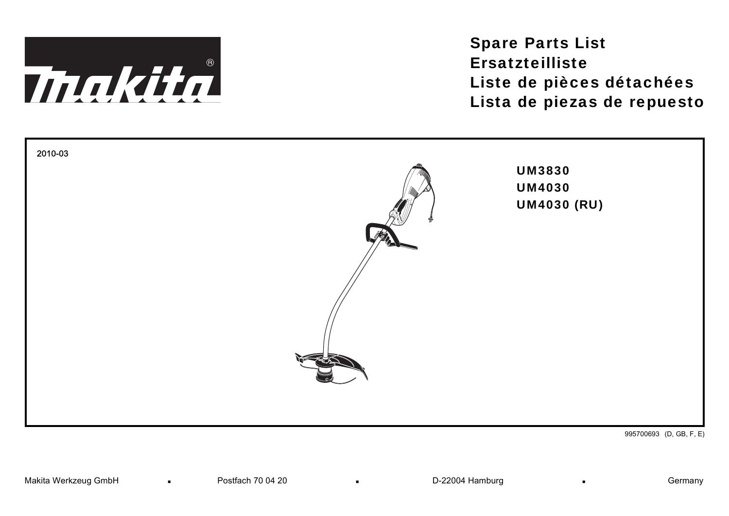

Spare Parts List ErsatzteillisteListe de pièces détachées Lista de piezas de repuesto



995700693 (D, GB, F, E)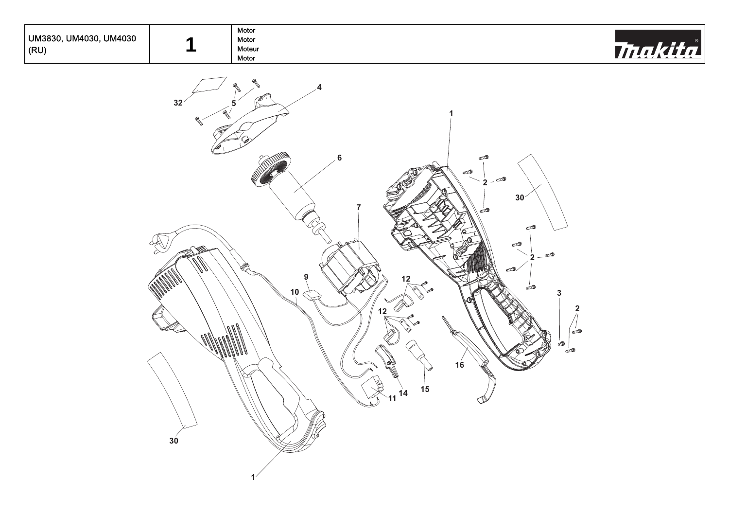| , UM4030, UM4030<br>UM3830,<br> (RU) | Motor<br>Motor<br>Moteur<br>Motor | 774 |
|--------------------------------------|-----------------------------------|-----|
|                                      |                                   |     |

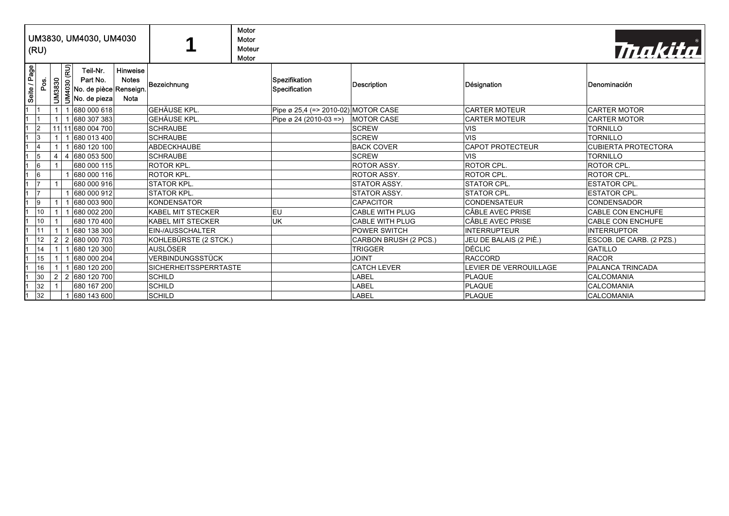|                         | (RU)           |                |                                 | UM3830, UM4030, UM4030                                                |                                  |                              | Motor<br>Motor<br>Moteur<br>Motor |                                     |                        |                         | Thakita                    |
|-------------------------|----------------|----------------|---------------------------------|-----------------------------------------------------------------------|----------------------------------|------------------------------|-----------------------------------|-------------------------------------|------------------------|-------------------------|----------------------------|
| Seite / Page            | Pos.           | <b>UM3830</b>  | $\overline{\mathbf{g}}$<br>4030 | Teil-Nr.<br>Part No.<br>No. de pièce Renseign.<br>$\leq$ No. de pieza | Hinweise<br><b>Notes</b><br>Nota | Bezeichnung                  |                                   | Spezifikation<br>Specification      | Description            | Désignation             | Denominación               |
| 1                       |                |                |                                 | 680 000 618                                                           |                                  | <b>GEHÄUSE KPL.</b>          |                                   | Pipe ø 25,4 (=> 2010-02) MOTOR CASE |                        | <b>CARTER MOTEUR</b>    | <b>CARTER MOTOR</b>        |
| $\mathbf{1}$            |                |                |                                 | 680 307 383                                                           |                                  | <b>GEHÄUSE KPL.</b>          |                                   | Pipe ø 24 (2010-03 =>)              | <b>MOTOR CASE</b>      | <b>CARTER MOTEUR</b>    | <b>CARTER MOTOR</b>        |
| $\vert 1 \vert 2 \vert$ |                |                |                                 | 11 11 680 004 700                                                     |                                  | <b>SCHRAUBE</b>              |                                   |                                     | <b>SCREW</b>           | <b>VIS</b>              | <b>TORNILLO</b>            |
| $1 \vert 3$             |                |                |                                 | 680 013 400                                                           |                                  | <b>SCHRAUBE</b>              |                                   |                                     | <b>SCREW</b>           | <b>VIS</b>              | <b>TORNILLO</b>            |
| $\mathbf{1}$            | 4              |                |                                 | 680 120 100                                                           |                                  | <b>ABDECKHAUBE</b>           |                                   |                                     | <b>BACK COVER</b>      | <b>CAPOT PROTECTEUR</b> | <b>CUBIERTA PROTECTORA</b> |
|                         | 5              | $\overline{4}$ |                                 | 4 680 053 500                                                         |                                  | <b>SCHRAUBE</b>              |                                   |                                     | <b>SCREW</b>           | <b>VIS</b>              | <b>TORNILLO</b>            |
| $\mathbf{1}$            | 6              |                |                                 | 680 000 115                                                           |                                  | <b>ROTOR KPL.</b>            |                                   |                                     | <b>ROTOR ASSY.</b>     | ROTOR CPL.              | ROTOR CPL.                 |
| $\mathbf 1$             | 6              |                |                                 | 680 000 116                                                           |                                  | <b>ROTOR KPL.</b>            |                                   |                                     | <b>ROTOR ASSY.</b>     | ROTOR CPL.              | ROTOR CPL.                 |
| 1                       | 7              |                |                                 | 680 000 916                                                           |                                  | <b>STATOR KPL.</b>           |                                   |                                     | <b>STATOR ASSY.</b>    | <b>STATOR CPL.</b>      | <b>ESTATOR CPL.</b>        |
| $\mathbf{1}$            | 7              |                |                                 | 680 000 912                                                           |                                  | <b>STATOR KPL.</b>           |                                   |                                     | <b>STATOR ASSY.</b>    | <b>STATOR CPL</b>       | <b>ESTATOR CPL.</b>        |
|                         | $\overline{9}$ |                |                                 | 680 003 900                                                           |                                  | <b>KONDENSATOR</b>           |                                   |                                     | <b>CAPACITOR</b>       | <b>CONDENSATEUR</b>     | <b>CONDENSADOR</b>         |
| $\mathbf{1}$            | 10             |                |                                 | 680 002 200                                                           |                                  | <b>KABEL MIT STECKER</b>     |                                   | leu.                                | <b>CABLE WITH PLUG</b> | CÂBLE AVEC PRISE        | <b>CABLE CON ENCHUFE</b>   |
|                         | 10             |                |                                 | 680 170 400                                                           |                                  | <b>KABEL MIT STECKER</b>     |                                   | <b>UK</b>                           | <b>CABLE WITH PLUG</b> | CÂBLE AVEC PRISE        | <b>CABLE CON ENCHUFE</b>   |
|                         | 11             |                |                                 | 680 138 300                                                           |                                  | EIN-/AUSSCHALTER             |                                   |                                     | <b>POWER SWITCH</b>    | <b>INTERRUPTEUR</b>     | <b>INTERRUPTOR</b>         |
|                         | 12             | 2              |                                 | 2 680 000 703                                                         |                                  | KOHLEBÜRSTE (2 STCK.)        |                                   |                                     | CARBON BRUSH (2 PCS.)  | JEU DE BALAIS (2 PIÈ.)  | ESCOB. DE CARB. (2 PZS.)   |
| $\mathbf{1}$            | 14             |                |                                 | 680 120 300                                                           |                                  | <b>AUSLÖSER</b>              |                                   |                                     | <b>TRIGGER</b>         | DÉCLIC                  | <b>GATILLO</b>             |
| $\mathbf{1}$            | 15             |                |                                 | 680 000 204                                                           |                                  | VERBINDUNGSSTÜCK             |                                   |                                     | <b>JOINT</b>           | <b>RACCORD</b>          | <b>RACOR</b>               |
|                         | 16             |                |                                 | 680 120 200                                                           |                                  | <b>SICHERHEITSSPERRTASTE</b> |                                   |                                     | <b>CATCH LEVER</b>     | LEVIER DE VERROUILLAGE  | PALANCA TRINCADA           |
|                         | 30             | 2              |                                 | 2 680 120 700                                                         |                                  | <b>SCHILD</b>                |                                   |                                     | LABEL                  | PLAQUE                  | CALCOMANIA                 |
|                         | 32             |                |                                 | 680 167 200                                                           |                                  | <b>SCHILD</b>                |                                   |                                     | LABEL                  | <b>PLAQUE</b>           | CALCOMANIA                 |
| 1                       | 32             |                |                                 | 680 143 600                                                           |                                  | <b>SCHILD</b>                |                                   |                                     | LABEL                  | PLAQUE                  | <b>CALCOMANIA</b>          |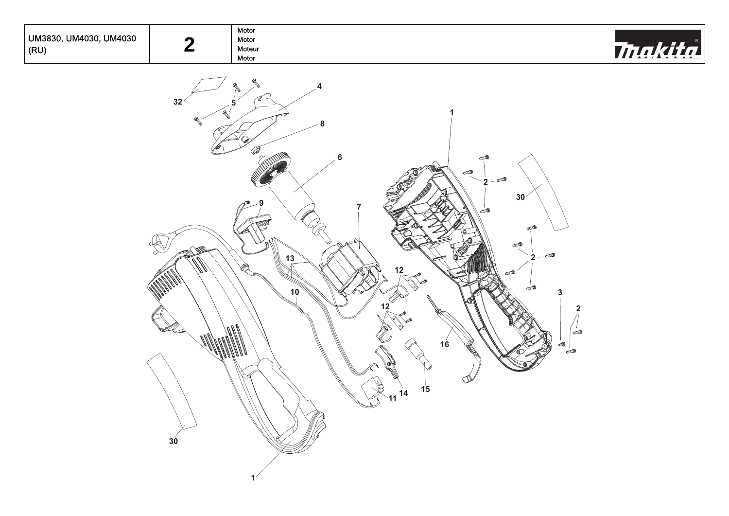| UM3830, UM4030, UM4030<br>(RU) | Motor<br>Motor<br>Moteur<br>Motor | $\overline{A}$<br>. |
|--------------------------------|-----------------------------------|---------------------|
|                                |                                   |                     |

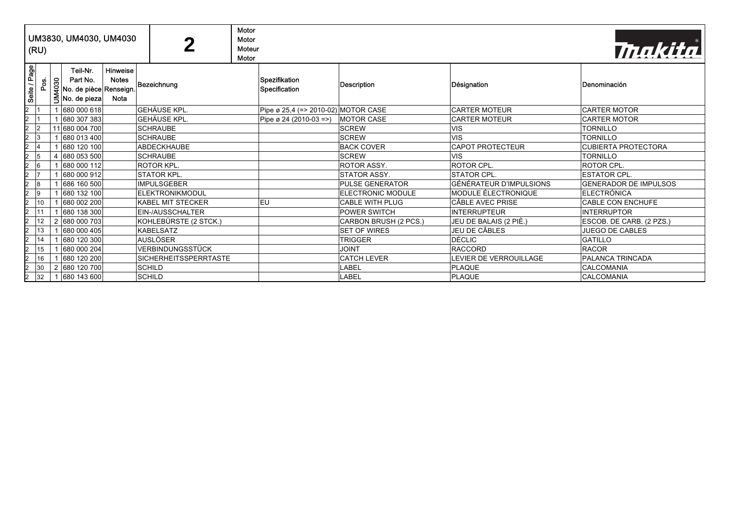| (RU)                 |      |                | UM3830, UM4030, UM4030                                         |                                         | 2                            | Motor<br>Motor<br>Moteur<br>Motor |                                     |                        |                                | Thakital                     |
|----------------------|------|----------------|----------------------------------------------------------------|-----------------------------------------|------------------------------|-----------------------------------|-------------------------------------|------------------------|--------------------------------|------------------------------|
| Seite / Page         | Pos. | <b>UM4030</b>  | Teil-Nr.<br>Part No.<br>No. de pièce Renseign.<br>No. de pieza | Hinweise<br><b>Notes</b><br><b>Nota</b> | Bezeichnung                  |                                   | Spezifikation<br>Specification      | Description            | Désignation                    | Denominación                 |
| $\overline{2}$       |      |                | 680 000 618                                                    |                                         | <b>GEHÄUSE KPL.</b>          |                                   | Pipe ø 25,4 (=> 2010-02) MOTOR CASE |                        | <b>CARTER MOTEUR</b>           | <b>CARTER MOTOR</b>          |
| $\overline{a}$       |      |                | 680 307 383                                                    |                                         | <b>GEHÄUSE KPL.</b>          |                                   | Pipe ø 24 (2010-03 =>)              | <b>MOTOR CASE</b>      | <b>CARTER MOTEUR</b>           | <b>CARTER MOTOR</b>          |
| $\overline{a}$       |      |                | 11 680 004 700                                                 |                                         | <b>SCHRAUBE</b>              |                                   |                                     | <b>SCREW</b>           | <b>VIS</b>                     | <b>TORNILLO</b>              |
| $\overline{a}$<br>13 |      |                | 680 013 400                                                    |                                         | <b>SCHRAUBE</b>              |                                   |                                     | <b>SCREW</b>           | <b>VIS</b>                     | <b>TORNILLO</b>              |
| $\overline{a}$       |      |                | 680 120 100                                                    |                                         | <b>ABDECKHAUBE</b>           |                                   |                                     | <b>BACK COVER</b>      | <b>CAPOT PROTECTEUR</b>        | <b>CUBIERTA PROTECTORA</b>   |
| $\overline{a}$<br>15 |      |                | 680 053 500                                                    |                                         | <b>SCHRAUBE</b>              |                                   |                                     | <b>SCREW</b>           | <b>VIS</b>                     | <b>TORNILLO</b>              |
| $\overline{a}$<br>16 |      |                | 680 000 112                                                    |                                         | <b>ROTOR KPL.</b>            |                                   |                                     | <b>ROTOR ASSY.</b>     | ROTOR CPL.                     | <b>ROTOR CPL.</b>            |
| $\overline{a}$       |      |                | 680 000 912                                                    |                                         | <b>STATOR KPL.</b>           |                                   |                                     | <b>STATOR ASSY.</b>    | <b>STATOR CPL.</b>             | <b>ESTATOR CPL.</b>          |
| $\overline{2}$<br>18 |      |                | 686 160 500                                                    |                                         | <b>IMPULSGEBER</b>           |                                   |                                     | <b>PULSE GENERATOR</b> | <b>GÉNÉRATEUR D'IMPULSIONS</b> | <b>GENERADOR DE IMPULSOS</b> |
| $\overline{2}$<br>19 |      |                | 680 132 100                                                    |                                         | <b>ELEKTRONIKMODUL</b>       |                                   |                                     | ELECTRONIC MODULE      | MODULE ÉLECTRONIQUE            | <b>IELECTRÓNICA</b>          |
| $\overline{a}$       | 10   |                | 680 002 200                                                    |                                         | <b>KABEL MIT STECKER</b>     |                                   | <b>EU</b>                           | <b>CABLE WITH PLUG</b> | <b>CÂBLE AVEC PRISE</b>        | <b>CABLE CON ENCHUFE</b>     |
| $\overline{a}$       | 11   |                | 680 138 300                                                    |                                         | EIN-/AUSSCHALTER             |                                   |                                     | <b>POWER SWITCH</b>    | <b>INTERRUPTEUR</b>            | <b>INTERRUPTOR</b>           |
| $\overline{a}$       | 12   |                | 680 000 703                                                    |                                         | KOHLEBÜRSTE (2 STCK.)        |                                   |                                     | CARBON BRUSH (2 PCS.)  | JEU DE BALAIS (2 PIÈ.)         | ESCOB. DE CARB. (2 PZS.)     |
| $\overline{2}$       | 13   |                | 680 000 405                                                    |                                         | <b>KABELSATZ</b>             |                                   |                                     | <b>SET OF WIRES</b>    | JEU DE CÂBLES                  | <b>JUEGO DE CABLES</b>       |
| $\overline{a}$       | 14   |                | 680 120 300                                                    |                                         | <b>AUSLÖSER</b>              |                                   |                                     | <b>TRIGGER</b>         | <b>DÉCLIC</b>                  | <b>GATILLO</b>               |
| $\overline{2}$       | 15   |                | 680 000 204                                                    |                                         | VERBINDUNGSSTÜCK             |                                   |                                     | <b>JOINT</b>           | <b>RACCORD</b>                 | <b>RACOR</b>                 |
| $\overline{2}$       | 16   |                | 680 120 200                                                    |                                         | <b>SICHERHEITSSPERRTASTE</b> |                                   |                                     | <b>CATCH LEVER</b>     | LEVIER DE VERROUILLAGE         | PALANCA TRINCADA             |
| $\overline{a}$       | 30   | $\overline{2}$ | 680 120 700                                                    |                                         | SCHILD                       |                                   |                                     | LABEL                  | <b>PLAQUE</b>                  | <b>CALCOMANIA</b>            |
| $\overline{a}$       | 32   |                | 1 680 143 600                                                  |                                         | <b>SCHILD</b>                |                                   |                                     | LABEL                  | PLAQUE                         | <b>CALCOMANIA</b>            |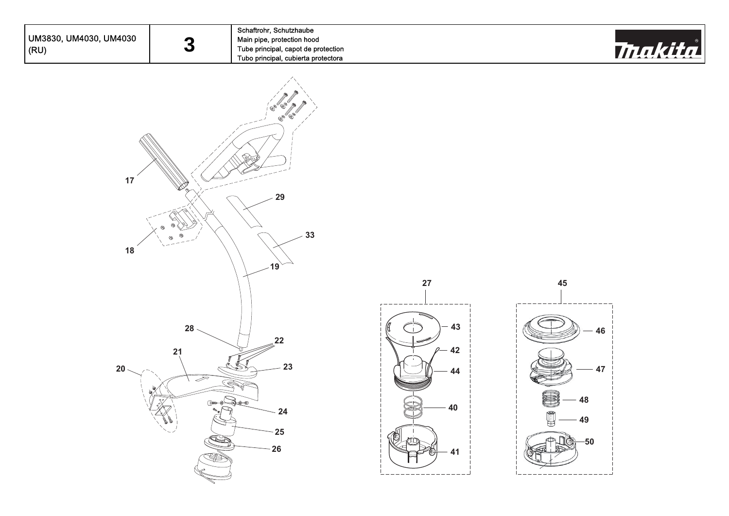| UM3830, UM4030, UM4030<br>(RU) | 3                                                                     | Schaftrohr, Schutzhaube<br>Main pipe, protection hood<br>Tube principal, capot de protection<br>Tubo principal, cubierta protectora |                                     |                                        | <i><b>Thakita</b></i> |
|--------------------------------|-----------------------------------------------------------------------|-------------------------------------------------------------------------------------------------------------------------------------|-------------------------------------|----------------------------------------|-----------------------|
| $17\,$<br>$18$                 |                                                                       | $\mathscr{O}_{\!\!\mathscr{D}}$<br>29<br>33                                                                                         |                                     |                                        |                       |
| 20                             | $28 \cdot$<br>21<br>$\overline{\mathcal{P}}$<br>$- 0$<br>$\sim$<br>J. | 19<br>22<br>23<br>24<br>25<br>26                                                                                                    | 27<br>43<br>$-42$<br>Ω-<br>44<br>40 | 45<br>$-46$<br>47<br>48<br>49<br>$-50$ |                       |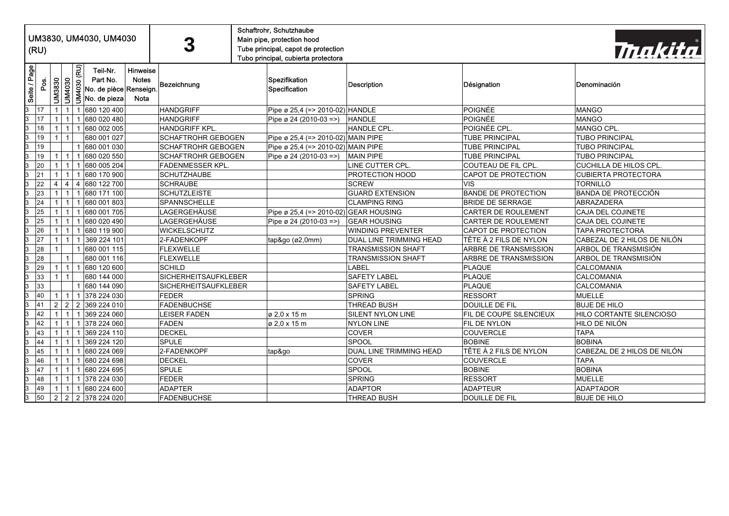|                                                                                                                                                                                                                                                                                                          |                                                                                                                                                                                                                                                                                    |                                                                                                                                                                                                                                             |                                                      | Schaftrohr, Schutzhaube                                                                                                                                                                                                                  |              |                                                                                                                                                                                                                     |                                             |                                                  |                                                          |                                                      |
|----------------------------------------------------------------------------------------------------------------------------------------------------------------------------------------------------------------------------------------------------------------------------------------------------------|------------------------------------------------------------------------------------------------------------------------------------------------------------------------------------------------------------------------------------------------------------------------------------|---------------------------------------------------------------------------------------------------------------------------------------------------------------------------------------------------------------------------------------------|------------------------------------------------------|------------------------------------------------------------------------------------------------------------------------------------------------------------------------------------------------------------------------------------------|--------------|---------------------------------------------------------------------------------------------------------------------------------------------------------------------------------------------------------------------|---------------------------------------------|--------------------------------------------------|----------------------------------------------------------|------------------------------------------------------|
|                                                                                                                                                                                                                                                                                                          |                                                                                                                                                                                                                                                                                    |                                                                                                                                                                                                                                             | UM3830, UM4030, UM4030<br>Main pipe, protection hood |                                                                                                                                                                                                                                          |              |                                                                                                                                                                                                                     |                                             |                                                  |                                                          |                                                      |
| Thakita                                                                                                                                                                                                                                                                                                  |                                                                                                                                                                                                                                                                                    |                                                                                                                                                                                                                                             | Tube principal, capot de protection                  | 3                                                                                                                                                                                                                                        |              |                                                                                                                                                                                                                     |                                             |                                                  | (RU)                                                     |                                                      |
|                                                                                                                                                                                                                                                                                                          |                                                                                                                                                                                                                                                                                    |                                                                                                                                                                                                                                             | Tubo principal, cubierta protectora                  |                                                                                                                                                                                                                                          |              |                                                                                                                                                                                                                     |                                             |                                                  |                                                          |                                                      |
|                                                                                                                                                                                                                                                                                                          |                                                                                                                                                                                                                                                                                    |                                                                                                                                                                                                                                             |                                                      |                                                                                                                                                                                                                                          | Hinweise     | Teil-Nr.                                                                                                                                                                                                            |                                             |                                                  |                                                          |                                                      |
|                                                                                                                                                                                                                                                                                                          |                                                                                                                                                                                                                                                                                    |                                                                                                                                                                                                                                             | Spezifikation                                        |                                                                                                                                                                                                                                          | <b>Notes</b> | Part No.                                                                                                                                                                                                            |                                             |                                                  |                                                          |                                                      |
| Denominación                                                                                                                                                                                                                                                                                             | Désignation                                                                                                                                                                                                                                                                        | Description                                                                                                                                                                                                                                 | Specification                                        | Bezeichnung                                                                                                                                                                                                                              |              | No. de pièce Renseign.                                                                                                                                                                                              |                                             |                                                  | Pos.                                                     |                                                      |
|                                                                                                                                                                                                                                                                                                          |                                                                                                                                                                                                                                                                                    |                                                                                                                                                                                                                                             |                                                      |                                                                                                                                                                                                                                          | <b>Nota</b>  | No. de pieza                                                                                                                                                                                                        | UM4030 (RU)<br><b>UM4030</b>                | <b>UM3830</b>                                    |                                                          | Seite / Page                                         |
|                                                                                                                                                                                                                                                                                                          |                                                                                                                                                                                                                                                                                    |                                                                                                                                                                                                                                             |                                                      |                                                                                                                                                                                                                                          |              |                                                                                                                                                                                                                     |                                             |                                                  |                                                          |                                                      |
| <b>MANGO</b>                                                                                                                                                                                                                                                                                             | POIGNÉE                                                                                                                                                                                                                                                                            |                                                                                                                                                                                                                                             | Pipe ø 25,4 (=> 2010-02) HANDLE                      | <b>HANDGRIFF</b>                                                                                                                                                                                                                         |              | 680 120 400                                                                                                                                                                                                         | $\mathbf{1}$                                |                                                  | 17                                                       | 3                                                    |
| <b>MANGO</b>                                                                                                                                                                                                                                                                                             | POIGNÉE                                                                                                                                                                                                                                                                            | <b>HANDLE</b>                                                                                                                                                                                                                               | Pipe ø 24 (2010-03 =>)                               | <b>HANDGRIFF</b>                                                                                                                                                                                                                         |              | 680 020 480                                                                                                                                                                                                         | $1 \mid 1$                                  | $\overline{1}$                                   | 17                                                       | 3                                                    |
| MANGO CPL.                                                                                                                                                                                                                                                                                               | POIGNÉE CPL.                                                                                                                                                                                                                                                                       | HANDLE CPL.                                                                                                                                                                                                                                 |                                                      | <b>HANDGRIFF KPL.</b>                                                                                                                                                                                                                    |              | 680 002 005                                                                                                                                                                                                         | 1 <sup>1</sup><br>-1                        | -1                                               | 18                                                       | 3                                                    |
| <b>TUBO PRINCIPAL</b>                                                                                                                                                                                                                                                                                    | <b>TUBE PRINCIPAL</b>                                                                                                                                                                                                                                                              |                                                                                                                                                                                                                                             | Pipe ø 25,4 (=> 2010-02) MAIN PIPE                   | <b>SCHAFTROHR GEBOGEN</b>                                                                                                                                                                                                                |              | 680 001 027                                                                                                                                                                                                         | $\mathbf{1}$                                |                                                  | 19                                                       | 3                                                    |
| <b>TUBO PRINCIPAL</b>                                                                                                                                                                                                                                                                                    | <b>TUBE PRINCIPAL</b>                                                                                                                                                                                                                                                              |                                                                                                                                                                                                                                             | Pipe ø 25,4 (=> 2010-02) MAIN PIPE                   | <b>SCHAFTROHR GEBOGEN</b>                                                                                                                                                                                                                |              | 680 001 030                                                                                                                                                                                                         |                                             |                                                  | 19                                                       | 3                                                    |
| <b>TUBO PRINCIPAL</b>                                                                                                                                                                                                                                                                                    | <b>TUBE PRINCIPAL</b>                                                                                                                                                                                                                                                              | <b>MAIN PIPE</b>                                                                                                                                                                                                                            | Pipe ø 24 (2010-03 =>)                               | <b>SCHAFTROHR GEBOGEN</b>                                                                                                                                                                                                                |              | 680 020 550                                                                                                                                                                                                         | 1 <sup>1</sup><br>-1                        |                                                  | 19                                                       | 3                                                    |
| CUCHILLA DE HILOS CPL.                                                                                                                                                                                                                                                                                   | COUTEAU DE FIL CPL.                                                                                                                                                                                                                                                                | LINE CUTTER CPL.                                                                                                                                                                                                                            |                                                      | <b>FADENMESSER KPL.</b>                                                                                                                                                                                                                  |              | 680 005 204                                                                                                                                                                                                         | 1<br>$\overline{1}$                         |                                                  | 20                                                       | 3                                                    |
|                                                                                                                                                                                                                                                                                                          |                                                                                                                                                                                                                                                                                    |                                                                                                                                                                                                                                             |                                                      |                                                                                                                                                                                                                                          |              |                                                                                                                                                                                                                     | $1 \mid 1$                                  | $\mathbf{1}$                                     | 21                                                       | 3                                                    |
| <b>TORNILLO</b>                                                                                                                                                                                                                                                                                          | <b>VIS</b>                                                                                                                                                                                                                                                                         | <b>SCREW</b>                                                                                                                                                                                                                                |                                                      | <b>SCHRAUBE</b>                                                                                                                                                                                                                          |              | 680 122 700                                                                                                                                                                                                         | $4 \mid 4$                                  | $\overline{4}$                                   | 22                                                       | 3                                                    |
|                                                                                                                                                                                                                                                                                                          | <b>BANDE DE PROTECTION</b>                                                                                                                                                                                                                                                         |                                                                                                                                                                                                                                             |                                                      | <b>SCHUTZLEISTE</b>                                                                                                                                                                                                                      |              | 680 171 100                                                                                                                                                                                                         | 1 <sup>1</sup><br>$\mathbf{1}$              |                                                  | 23                                                       |                                                      |
| ABRAZADERA                                                                                                                                                                                                                                                                                               | <b>BRIDE DE SERRAGE</b>                                                                                                                                                                                                                                                            | <b>CLAMPING RING</b>                                                                                                                                                                                                                        |                                                      | SPANNSCHELLE                                                                                                                                                                                                                             |              | 680 001 803                                                                                                                                                                                                         | 1 <sup>1</sup><br>-1                        |                                                  | 24                                                       | 3                                                    |
| CAJA DEL COJINETE                                                                                                                                                                                                                                                                                        | <b>CARTER DE ROULEMENT</b>                                                                                                                                                                                                                                                         |                                                                                                                                                                                                                                             | Pipe ø 25,4 (=> 2010-02) GEAR HOUSING                | LAGERGEHÄUSE                                                                                                                                                                                                                             |              | 680 001 705                                                                                                                                                                                                         | $1 \mid 1$                                  |                                                  | 25                                                       | 3                                                    |
| CAJA DEL COJINETE                                                                                                                                                                                                                                                                                        | <b>CARTER DE ROULEMENT</b>                                                                                                                                                                                                                                                         | <b>GEAR HOUSING</b>                                                                                                                                                                                                                         | Pipe ø 24 (2010-03 =>)                               | LAGERGEHÄUSE                                                                                                                                                                                                                             |              | 680 020 490                                                                                                                                                                                                         | 1 <sup>1</sup><br>$\overline{1}$            |                                                  | 25                                                       | 3                                                    |
| <b>TAPA PROTECTORA</b>                                                                                                                                                                                                                                                                                   | CAPOT DE PROTECTION                                                                                                                                                                                                                                                                | <b>WINDING PREVENTER</b>                                                                                                                                                                                                                    |                                                      | <b>WICKELSCHUTZ</b>                                                                                                                                                                                                                      |              | 680 119 900                                                                                                                                                                                                         | $1 \mid 1$                                  | $\mathbf{1}$                                     | 26                                                       | 3                                                    |
| CABEZAL DE 2 HILOS DE NILÓN                                                                                                                                                                                                                                                                              | <b>TÊTE À 2 FILS DE NYLON</b>                                                                                                                                                                                                                                                      | DUAL LINE TRIMMING HEAD                                                                                                                                                                                                                     | tap&go (ø2,0mm)                                      | 2-FADENKOPF                                                                                                                                                                                                                              |              | 369 224 101                                                                                                                                                                                                         | $1 \mid 1$                                  | $\overline{1}$                                   | 27                                                       | 3                                                    |
| ARBOL DE TRANSMISIÓN                                                                                                                                                                                                                                                                                     | <b>ARBRE DE TRANSMISSION</b>                                                                                                                                                                                                                                                       | <b>TRANSMISSION SHAFT</b>                                                                                                                                                                                                                   |                                                      | FLEXWELLE                                                                                                                                                                                                                                |              | 1 680 001 115                                                                                                                                                                                                       |                                             |                                                  | 28                                                       | 3                                                    |
| ARBOL DE TRANSMISIÓN                                                                                                                                                                                                                                                                                     | <b>ARBRE DE TRANSMISSION</b>                                                                                                                                                                                                                                                       | TRANSMISSION SHAFT                                                                                                                                                                                                                          |                                                      | <b>FLEXWELLE</b>                                                                                                                                                                                                                         |              | 680 001 116                                                                                                                                                                                                         |                                             |                                                  | 28                                                       | 3                                                    |
| CALCOMANIA                                                                                                                                                                                                                                                                                               | <b>PLAQUE</b>                                                                                                                                                                                                                                                                      | LABEL                                                                                                                                                                                                                                       |                                                      | <b>SCHILD</b>                                                                                                                                                                                                                            |              | 680 120 600                                                                                                                                                                                                         | $1 \vert 1$                                 |                                                  | 29                                                       | 3                                                    |
| CALCOMANIA                                                                                                                                                                                                                                                                                               | PLAQUE                                                                                                                                                                                                                                                                             | SAFETY LABEL                                                                                                                                                                                                                                |                                                      | <b>SICHERHEITSAUFKLEBER</b>                                                                                                                                                                                                              |              | 680 144 000                                                                                                                                                                                                         | $\mathbf{1}$                                |                                                  | 33                                                       | 3                                                    |
| CALCOMANIA                                                                                                                                                                                                                                                                                               | <b>PLAQUE</b>                                                                                                                                                                                                                                                                      | <b>SAFETY LABEL</b>                                                                                                                                                                                                                         |                                                      | <b>SICHERHEITSAUFKLEBER</b>                                                                                                                                                                                                              |              | 680 144 090                                                                                                                                                                                                         | $\mathbf{1}$                                |                                                  | 33                                                       | 3                                                    |
|                                                                                                                                                                                                                                                                                                          |                                                                                                                                                                                                                                                                                    |                                                                                                                                                                                                                                             |                                                      |                                                                                                                                                                                                                                          |              |                                                                                                                                                                                                                     |                                             | $\overline{1}$                                   | 40                                                       | 3                                                    |
|                                                                                                                                                                                                                                                                                                          |                                                                                                                                                                                                                                                                                    |                                                                                                                                                                                                                                             |                                                      |                                                                                                                                                                                                                                          |              |                                                                                                                                                                                                                     |                                             |                                                  | 41                                                       | 3                                                    |
|                                                                                                                                                                                                                                                                                                          |                                                                                                                                                                                                                                                                                    |                                                                                                                                                                                                                                             |                                                      |                                                                                                                                                                                                                                          |              |                                                                                                                                                                                                                     | $1 \mid 1$                                  |                                                  |                                                          |                                                      |
|                                                                                                                                                                                                                                                                                                          |                                                                                                                                                                                                                                                                                    |                                                                                                                                                                                                                                             |                                                      |                                                                                                                                                                                                                                          |              |                                                                                                                                                                                                                     |                                             |                                                  |                                                          |                                                      |
|                                                                                                                                                                                                                                                                                                          |                                                                                                                                                                                                                                                                                    |                                                                                                                                                                                                                                             |                                                      |                                                                                                                                                                                                                                          |              |                                                                                                                                                                                                                     | $1 \mid 1$                                  |                                                  |                                                          |                                                      |
|                                                                                                                                                                                                                                                                                                          |                                                                                                                                                                                                                                                                                    |                                                                                                                                                                                                                                             |                                                      |                                                                                                                                                                                                                                          |              |                                                                                                                                                                                                                     | $1 \mid 1$                                  |                                                  |                                                          | 3                                                    |
|                                                                                                                                                                                                                                                                                                          |                                                                                                                                                                                                                                                                                    |                                                                                                                                                                                                                                             |                                                      |                                                                                                                                                                                                                                          |              |                                                                                                                                                                                                                     |                                             | $\mathbf{1}$                                     |                                                          |                                                      |
|                                                                                                                                                                                                                                                                                                          |                                                                                                                                                                                                                                                                                    |                                                                                                                                                                                                                                             |                                                      |                                                                                                                                                                                                                                          |              |                                                                                                                                                                                                                     | $1 \mid 1$                                  | $\overline{1}$                                   |                                                          | 3                                                    |
|                                                                                                                                                                                                                                                                                                          |                                                                                                                                                                                                                                                                                    |                                                                                                                                                                                                                                             |                                                      |                                                                                                                                                                                                                                          |              |                                                                                                                                                                                                                     | $\overline{1}$                              |                                                  |                                                          |                                                      |
|                                                                                                                                                                                                                                                                                                          |                                                                                                                                                                                                                                                                                    |                                                                                                                                                                                                                                             |                                                      |                                                                                                                                                                                                                                          |              |                                                                                                                                                                                                                     |                                             | -1                                               |                                                          |                                                      |
|                                                                                                                                                                                                                                                                                                          |                                                                                                                                                                                                                                                                                    |                                                                                                                                                                                                                                             |                                                      |                                                                                                                                                                                                                                          |              |                                                                                                                                                                                                                     |                                             |                                                  |                                                          |                                                      |
|                                                                                                                                                                                                                                                                                                          |                                                                                                                                                                                                                                                                                    |                                                                                                                                                                                                                                             |                                                      |                                                                                                                                                                                                                                          |              |                                                                                                                                                                                                                     |                                             |                                                  |                                                          |                                                      |
| <b>CUBIERTA PROTECTORA</b><br><b>BANDA DE PROTECCIÓN</b><br><b>MUELLE</b><br><b>BUJE DE HILO</b><br>HILO CORTANTE SILENCIOSO<br>HILO DE NILÓN<br><b>TAPA</b><br><b>BOBINA</b><br>CABEZAL DE 2 HILOS DE NILÓN<br><b>TAPA</b><br><b>BOBINA</b><br><b>MUELLE</b><br><b>ADAPTADOR</b><br><b>BUJE DE HILO</b> | CAPOT DE PROTECTION<br><b>RESSORT</b><br><b>DOUILLE DE FIL</b><br><b>FIL DE COUPE SILENCIEUX</b><br><b>FIL DE NYLON</b><br><b>COUVERCLE</b><br><b>BOBINE</b><br>TÊTE À 2 FILS DE NYLON<br>COUVERCLE<br><b>BOBINE</b><br><b>RESSORT</b><br><b>ADAPTEUR</b><br><b>DOUILLE DE FIL</b> | PROTECTION HOOD<br><b>GUARD EXTENSION</b><br><b>SPRING</b><br>THREAD BUSH<br>SILENT NYLON LINE<br><b>NYLON LINE</b><br>COVER<br>SPOOL<br>DUAL LINE TRIMMING HEAD<br><b>COVER</b><br>SPOOL<br><b>SPRING</b><br><b>ADAPTOR</b><br>THREAD BUSH | ø 2,0 x 15 m<br>ø 2,0 x 15 m<br>tap&go               | <b>SCHUTZHAUBE</b><br><b>FEDER</b><br><b>FADENBUCHSE</b><br><b>LEISER FADEN</b><br><b>FADEN</b><br><b>DECKEL</b><br><b>SPULE</b><br>2-FADENKOPF<br><b>DECKEL</b><br><b>SPULE</b><br><b>FEDER</b><br><b>ADAPTER</b><br><b>FADENBUCHSE</b> |              | 680 170 900<br>1 1 378 224 030<br>2 2 369 224 010<br>369 224 060<br>1 1 378 224 060<br>369 224 110<br>369 224 120<br>680 224 069<br>680 224 698<br>680 224 695<br>378 224 030<br>1 1 680 224 600<br>2 2 378 224 020 | $1 \vert 1$<br>1 <sup>1</sup><br>$1 \mid 1$ | $\overline{2}$<br>$\mathbf{1}$<br>$\overline{2}$ | 42<br>42<br>43<br>44<br>45<br>46<br>47<br>48<br>49<br>50 | 3<br>3<br>3<br>3<br>3<br>3<br>3<br>3<br>$\mathbf{3}$ |